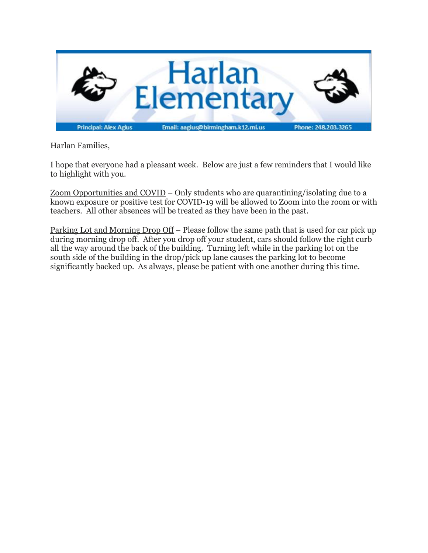

Harlan Families,

I hope that everyone had a pleasant week. Below are just a few reminders that I would like to highlight with you.

Zoom Opportunities and COVID – Only students who are quarantining/isolating due to a known exposure or positive test for COVID-19 will be allowed to Zoom into the room or with teachers. All other absences will be treated as they have been in the past.

Parking Lot and Morning Drop Off – Please follow the same path that is used for car pick up during morning drop off. After you drop off your student, cars should follow the right curb all the way around the back of the building. Turning left while in the parking lot on the south side of the building in the drop/pick up lane causes the parking lot to become significantly backed up. As always, please be patient with one another during this time.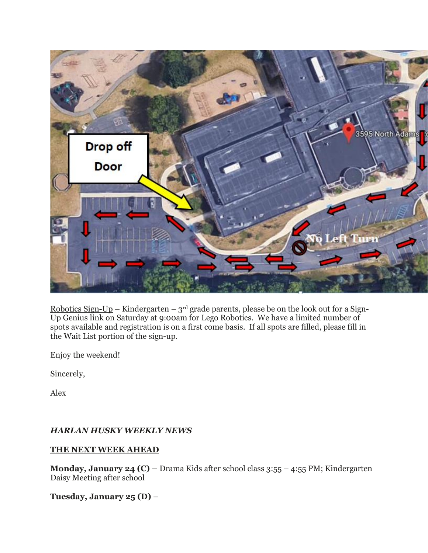

Robotics Sign-Up – Kindergarten –  $3<sup>rd</sup>$  grade parents, please be on the look out for a Sign-Up Genius link on Saturday at 9:00am for Lego Robotics. We have a limited number of spots available and registration is on a first come basis. If all spots are filled, please fill in the Wait List portion of the sign-up.

Enjoy the weekend!

Sincerely,

Alex

### *HARLAN HUSKY WEEKLY NEWS*

### **THE NEXT WEEK AHEAD**

**Monday, January 24 (C) –** Drama Kids after school class 3:55 – 4:55 PM; Kindergarten Daisy Meeting after school

**Tuesday, January 25 (D)** –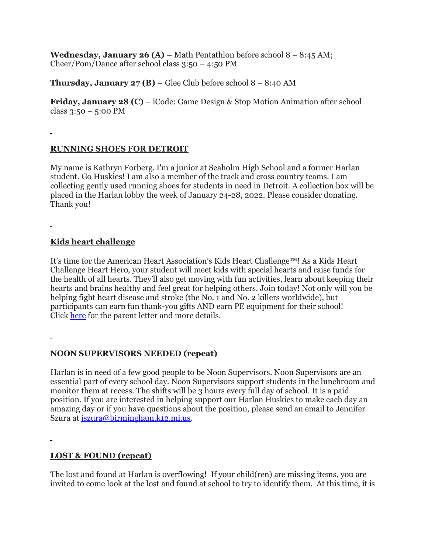**Wednesday, January 26 (A) – Math Pentathlon before school**  $8 - 8:45$  **AM;** Cheer/Pom/Dance after school class 3:50 – 4:50 PM

**Thursday, January**  $27$  **(B) – Glee Club before school**  $8 - 8:40$  **AM** 

**Friday, January 28 (C)** – iCode: Game Design & Stop Motion Animation after school class  $3:50 - 5:00 \text{ PM}$ 

# **RUNNING SHOES FOR DETROIT**

My name is Kathryn Forberg. I'm a junior at Seaholm High School and a former Harlan student. Go Huskies! I am also a member of the track and cross country teams. I am collecting gently used running shoes for students in need in Detroit. A collection box will be placed in the Harlan lobby the week of January 24-28, 2022. Please consider donating. Thank you!

### **Kids heart challenge**

It's time for the American Heart Association's Kids Heart Challenge™! As a Kids Heart Challenge Heart Hero, your student will meet kids with special hearts and raise funds for the health of all hearts. They'll also get moving with fun activities, learn about keeping their hearts and brains healthy and feel great for helping others. Join today! Not only will you be helping fight heart disease and stroke (the No. 1 and No. 2 killers worldwide), but participants can earn fun thank-you gifts AND earn PE equipment for their school! Click [here](https://drive.google.com/file/d/1I0yU9vChgnfBRzFYbenkWffLudQoJvYy/view?usp=sharing) for the parent letter and more details.

# **NOON SUPERVISORS NEEDED (repeat)**

Harlan is in need of a few good people to be Noon Supervisors. Noon Supervisors are an essential part of every school day. Noon Supervisors support students in the lunchroom and monitor them at recess. The shifts will be 3 hours every full day of school. It is a paid position. If you are interested in helping support our Harlan Huskies to make each day an amazing day or if you have questions about the position, please send an email to Jennifer Szura at [jszura@birmingham.k12.mi.us.](mailto:jszura@birmingham.k12.mi.us)

# **LOST & FOUND (repeat)**

The lost and found at Harlan is overflowing! If your child(ren) are missing items, you are invited to come look at the lost and found at school to try to identify them. At this time, it is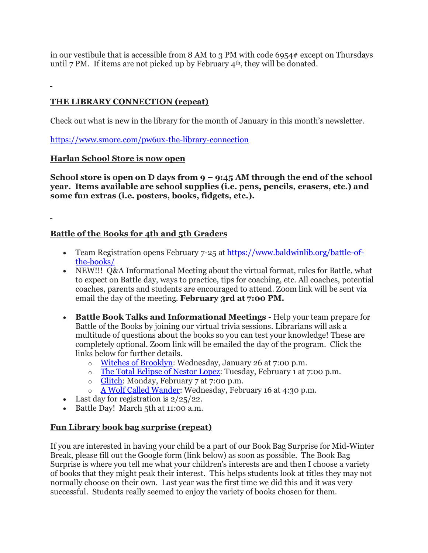in our vestibule that is accessible from 8 AM to 3 PM with code 6954# except on Thursdays until 7 PM. If items are not picked up by February  $4<sup>th</sup>$ , they will be donated.

# **THE LIBRARY CONNECTION (repeat)**

Check out what is new in the library for the month of January in this month's newsletter.

<https://www.smore.com/pw6ux-the-library-connection>

### **Harlan School Store is now open**

**School store is open on D days from 9 – 9:45 AM through the end of the school year. Items available are school supplies (i.e. pens, pencils, erasers, etc.) and some fun extras (i.e. posters, books, fidgets, etc.).**

### **Battle of the Books for 4th and 5th Graders**

- Team Registration opens February 7-25 at [https://www.baldwinlib.org/battle-of](https://www.baldwinlib.org/battle-of-the-books/)[the-books/](https://www.baldwinlib.org/battle-of-the-books/)
- NEW!!! Q&A Informational Meeting about the virtual format, rules for Battle, what to expect on Battle day, ways to practice, tips for coaching, etc. All coaches, potential coaches, parents and students are encouraged to attend. Zoom link will be sent via email the day of the meeting. **February 3rd at 7:00 PM.**
- **Battle Book Talks and Informational Meetings -** Help your team prepare for Battle of the Books by joining our virtual trivia sessions. Librarians will ask a multitude of questions about the books so you can test your knowledge! These are completely optional. Zoom link will be emailed the day of the program. Click the links below for further details.
	- o Witches of [Brooklyn:](https://events.getlocalhop.com/battle-book-talk-witches-of-brooklyn/event/Hkfykb1H8z/) Wednesday, January 26 at 7:00 p.m.
	- o The Total [Eclipse](https://events.getlocalhop.com/battle-book-talk-the-total-eclipse-of-nestor-lopez/event/hmZEtOgSs9/) of Nestor Lopez: Tuesday, February 1 at 7:00 p.m.
	- o [Glitch:](https://events.getlocalhop.com/battle-book-talk-glitch/event/1nD7cfKAZw/) Monday, February 7 at 7:00 p.m.
	- o A Wolf Called [Wander:](https://events.getlocalhop.com/battle-book-talk-a-wolf-called-wander/event/aRqVFcTMdE/) Wednesday, February 16 at 4:30 p.m.
- Last day for registration is  $2/25/22$ .
- Battle Day! March 5th at 11:00 a.m.

### **Fun Library book bag surprise (repeat)**

If you are interested in having your child be a part of our Book Bag Surprise for Mid-Winter Break, please fill out the Google form (link below) as soon as possible. The Book Bag Surprise is where you tell me what your children's interests are and then I choose a variety of books that they might peak their interest. This helps students look at titles they may not normally choose on their own. Last year was the first time we did this and it was very successful. Students really seemed to enjoy the variety of books chosen for them.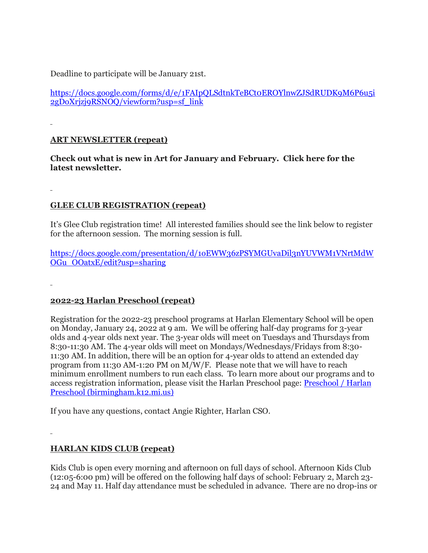Deadline to participate will be January 21st.

[https://docs.google.com/forms/d/e/1FAIpQLSdtnkTeBCt0EROYlnwZJSdRUDK9M6P6u5i](https://docs.google.com/forms/d/e/1FAIpQLSdtnkTeBCt0EROYlnwZJSdRUDK9M6P6u5i2gDoXrjzj9RSNOQ/viewform?usp=sf_link) [2gDoXrjzj9RSNOQ/viewform?usp=sf\\_link](https://docs.google.com/forms/d/e/1FAIpQLSdtnkTeBCt0EROYlnwZJSdRUDK9M6P6u5i2gDoXrjzj9RSNOQ/viewform?usp=sf_link)

## **ART NEWSLETTER (repeat)**

**Check out what is new in Art for January and February. Click here for the latest newsletter.**

### **GLEE CLUB REGISTRATION (repeat)**

It's Glee Club registration time! All interested families should see the link below to register for the afternoon session. The morning session is full.

[https://docs.google.com/presentation/d/1oEWW36zPSYMGUvaDil3nYUVWM1VNrtMdW](https://docs.google.com/presentation/d/1oEWW36zPSYMGUvaDil3nYUVWM1VNrtMdWOGu_OOatxE/edit?usp=sharing) [OGu\\_OOatxE/edit?usp=sharing](https://docs.google.com/presentation/d/1oEWW36zPSYMGUvaDil3nYUVWM1VNrtMdWOGu_OOatxE/edit?usp=sharing)

### **2022-23 Harlan Preschool (repeat)**

Registration for the 2022-23 preschool programs at Harlan Elementary School will be open on Monday, January 24, 2022 at 9 am. We will be offering half-day programs for 3-year olds and 4-year olds next year. The 3-year olds will meet on Tuesdays and Thursdays from 8:30-11:30 AM. The 4-year olds will meet on Mondays/Wednesdays/Fridays from 8:30- 11:30 AM. In addition, there will be an option for 4-year olds to attend an extended day program from 11:30 AM-1:20 PM on M/W/F. Please note that we will have to reach minimum enrollment numbers to run each class. To learn more about our programs and to access registration information, please visit the Harlan Preschool page: [Preschool](https://www.birmingham.k12.mi.us/Harlanpreschool) / Harlan Preschool [\(birmingham.k12.mi.us\)](https://www.birmingham.k12.mi.us/Harlanpreschool)

If you have any questions, contact Angie Righter, Harlan CSO.

### **HARLAN KIDS CLUB (repeat)**

Kids Club is open every morning and afternoon on full days of school. Afternoon Kids Club (12:05-6:00 pm) will be offered on the following half days of school: February 2, March 23- 24 and May 11. Half day attendance must be scheduled in advance. There are no drop-ins or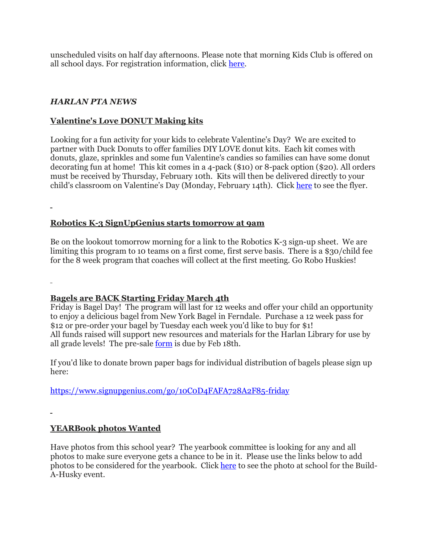unscheduled visits on half day afternoons. Please note that morning Kids Club is offered on all school days. For registration information, click [here.](https://www.birmingham.k12.mi.us/cms/lib/MI01908619/Centricity/Domain/494/2021-2022%20KIDS%20CLUB%20registration%20instructions.pdf)

### *HARLAN PTA NEWS*

## **Valentine's Love DONUT Making kits**

Looking for a fun activity for your kids to celebrate Valentine's Day? We are excited to partner with Duck Donuts to offer families DIY LOVE donut kits. Each kit comes with donuts, glaze, sprinkles and some fun Valentine's candies so families can have some donut decorating fun at home! This kit comes in a 4-pack (\$10) or 8-pack option (\$20). All orders must be received by Thursday, February 10th. Kits will then be delivered directly to your child's classroom on Valentine's Day (Monday, February 14th). Click [here](https://drive.google.com/file/d/1_T_9bR4xvK3b7HSZlyNTNKKRqqbjV_lr/view?usp=sharing) to see the flyer.

### **Robotics K-3 SignUpGenius starts tomorrow at 9am**

Be on the lookout tomorrow morning for a link to the Robotics K-3 sign-up sheet. We are limiting this program to 10 teams on a first come, first serve basis. There is a \$30/child fee for the 8 week program that coaches will collect at the first meeting. Go Robo Huskies!

### **Bagels are BACK Starting Friday March 4th**

Friday is Bagel Day! The program will last for 12 weeks and offer your child an opportunity to enjoy a delicious bagel from New York Bagel in Ferndale. Purchase a 12 week pass for \$12 or pre-order your bagel by Tuesday each week you'd like to buy for \$1! All funds raised will support new resources and materials for the Harlan Library for use by all grade levels! The pre-sale [form](https://drive.google.com/file/d/1nxjVcKIhWS-SQZsFkeCJLX-0VJp41J-x/view?usp=sharing) is due by Feb 18th.

If you'd like to donate brown paper bags for individual distribution of bagels please sign up here:

<https://www.signupgenius.com/go/10C0D4FAFA728A2F85-friday>

# **YEARBook photos Wanted**

Have photos from this school year? The yearbook committee is looking for any and all photos to make sure everyone gets a chance to be in it. Please use the links below to add photos to be considered for the yearbook. Click [here](https://drive.google.com/file/d/1Q3MPUw-VhUZMduFlxuaOaKGSDA3lq1db/view?usp=sharing) to see the photo at school for the Build-A-Husky event.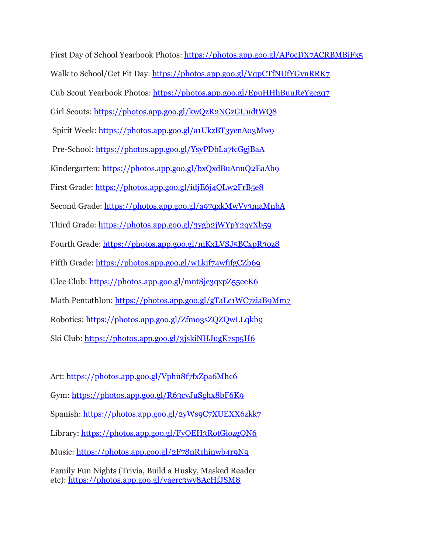First Day of School Yearbook Photos: <https://photos.app.goo.gl/APocDX7ACRBMBjFx5> Walk to School/Get Fit Day: <https://photos.app.goo.gl/VqpCTfNUfYGynRRK7> Cub Scout Yearbook Photos: <https://photos.app.goo.gl/EpuHHhBuuReYgcgq7> Girl Scouts: <https://photos.app.goo.gl/kwQzR2NGzGUudtWQ8> Spirit Week: <https://photos.app.goo.gl/a1UkzBT3ycnAo3Mw9> Pre-School: <https://photos.app.goo.gl/YsyPDbLa7fcGgjBaA> Kindergarten: <https://photos.app.goo.gl/bxQxdBuAnuQ2EaAb9> First Grade: <https://photos.app.goo.gl/idjE6j4QLw2FrB5e8> Second Grade: <https://photos.app.goo.gl/a97qxkMwVv3maMnbA> Third Grade: <https://photos.app.goo.gl/3ygh2jWYpY2qyXb59> Fourth Grade: <https://photos.app.goo.gl/mKxLVSJ5BCxpR3oz8> Fifth Grade: <https://photos.app.goo.gl/wLkif74wfifgCZb69> Glee Club: <https://photos.app.goo.gl/mntSjc3qxpZ55eeK6> Math Pentathlon: <https://photos.app.goo.gl/gTaLc1WC7ziaB9Mm7> Robotics: <https://photos.app.goo.gl/Zfmo3sZQZQwLLqkb9> Ski Club: <https://photos.app.goo.gl/3jskiNHJugK7sp5H6>

Art: <https://photos.app.goo.gl/Vphn8f7fxZpa6Mhc6> Gym: <https://photos.app.goo.gl/R63cvJuSghx8bF6K9> Spanish: <https://photos.app.goo.gl/2yWs9C7XUEXX6zkk7> Library: <https://photos.app.goo.gl/FyQEH3RotGiozgQN6> Music: <https://photos.app.goo.gl/2F78nR1hjnwb4r9N9> Family Fun Nights (Trivia, Build a Husky, Masked Reader etc): <https://photos.app.goo.gl/yaerc3wy8AcHfJSM8>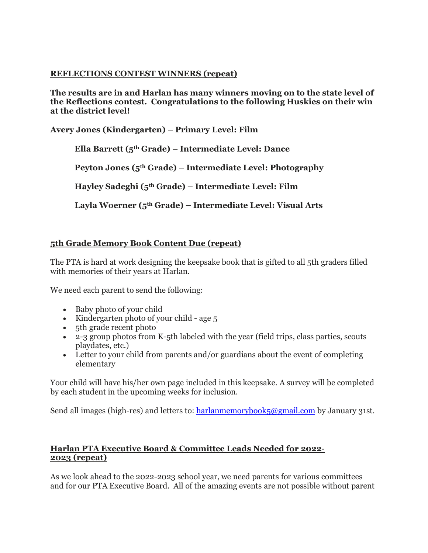## **REFLECTIONS CONTEST WINNERS (repeat)**

**The results are in and Harlan has many winners moving on to the state level of the Reflections contest. Congratulations to the following Huskies on their win at the district level!** 

**Avery Jones (Kindergarten) – Primary Level: Film**

 **Ella Barrett (5th Grade) – Intermediate Level: Dance**

 **Peyton Jones (5th Grade) – Intermediate Level: Photography**

 **Hayley Sadeghi (5th Grade) – Intermediate Level: Film**

 **Layla Woerner (5th Grade) – Intermediate Level: Visual Arts**

# **5th Grade Memory Book Content Due (repeat)**

The PTA is hard at work designing the keepsake book that is gifted to all 5th graders filled with memories of their years at Harlan.

We need each parent to send the following:

- Baby photo of your child
- Kindergarten photo of your child age 5
- 5th grade recent photo
- 2-3 group photos from K-5th labeled with the year (field trips, class parties, scouts playdates, etc.)
- Letter to your child from parents and/or guardians about the event of completing elementary

Your child will have his/her own page included in this keepsake. A survey will be completed by each student in the upcoming weeks for inclusion.

Send all images (high-res) and letters to: [harlanmemorybook5@gmail.com](mailto:harlanmemorybook5@gmail.com) by January 31st.

### **Harlan PTA Executive Board & Committee Leads Needed for 2022- 2023 (repeat)**

As we look ahead to the 2022-2023 school year, we need parents for various committees and for our PTA Executive Board. All of the amazing events are not possible without parent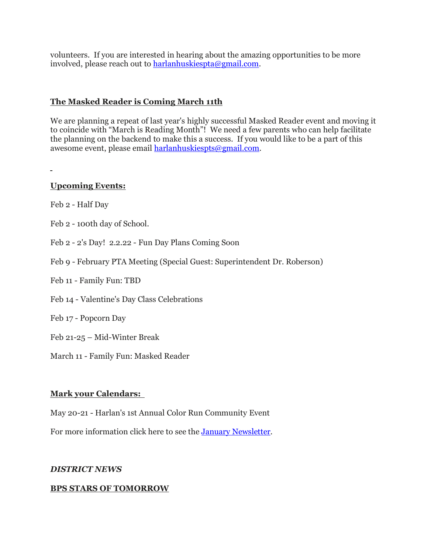volunteers. If you are interested in hearing about the amazing opportunities to be more involved, please reach out to [harlanhuskiespta@gmail.com.](mailto:harlanhuskiespta@gmail.com)

### **The Masked Reader is Coming March 11th**

We are planning a repeat of last year's highly successful Masked Reader event and moving it to coincide with "March is Reading Month"! We need a few parents who can help facilitate the planning on the backend to make this a success. If you would like to be a part of this awesome event, please email [harlanhuskiespts@gmail.com.](mailto:harlanhuskiespts@gmail.com)

### **Upcoming Events:**

Feb 2 - Half Day

- Feb 2 100th day of School.
- Feb 2 2's Day! 2.2.22 Fun Day Plans Coming Soon
- Feb 9 February PTA Meeting (Special Guest: Superintendent Dr. Roberson)
- Feb 11 Family Fun: TBD
- Feb 14 Valentine's Day Class Celebrations
- Feb 17 Popcorn Day
- Feb 21-25 Mid-Winter Break
- March 11 Family Fun: Masked Reader

### **Mark your Calendars:**

May 20-21 - Harlan's 1st Annual Color Run Community Event

For more information click here to see the January [Newsletter.](https://drive.google.com/file/d/1jRsbb4fcJ0T6792c7yWHkafSWiyYasJ4/view?usp=sharing)

### *DISTRICT NEWS*

### **BPS STARS OF TOMORROW**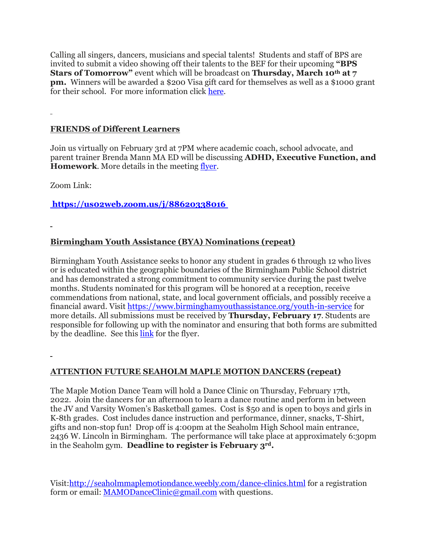Calling all singers, dancers, musicians and special talents! Students and staff of BPS are invited to submit a video showing off their talents to the BEF for their upcoming **"BPS Stars of Tomorrow"** event which will be broadcast on **Thursday, March 10th at 7 pm.** Winners will be awarded a \$200 Visa gift card for themselves as well as a \$1000 grant for their school. For more information click [here.](https://drive.google.com/file/d/190GgT_llvRXPPRxu8oVCRuDALZglXY7u/view?usp=sharing)

### **FRIENDS of Different Learners**

Join us virtually on February 3rd at 7PM where academic coach, school advocate, and parent trainer Brenda Mann MA ED will be discussing **ADHD, Executive Function, and Homework**. More details in the meeting [flyer.](https://drive.google.com/file/d/1t3VPjWuAjBRjqD-BkWTc4bCSWLQlGp-u/view?usp=sharing)

Zoom Link:

**<https://us02web.zoom.us/j/88620338016>**

# **Birmingham Youth Assistance (BYA) Nominations (repeat)**

Birmingham Youth Assistance seeks to honor any student in grades 6 through 12 who lives or is educated within the geographic boundaries of the Birmingham Public School district and has demonstrated a strong commitment to community service during the past twelve months. Students nominated for this program will be honored at a reception, receive commendations from national, state, and local government officials, and possibly receive a financial award. Visit <https://www.birminghamyouthassistance.org/youth-in-service> for more details. All submissions must be received by **Thursday, February 17**. Students are responsible for following up with the nominator and ensuring that both forms are submitted by the deadline. See this [link](https://drive.google.com/file/d/1pOGSmalP7uO09COWgsUOxyrjWCTBc76v/view?usp=sharing) for the flyer.

# **ATTENTION FUTURE SEAHOLM MAPLE MOTION DANCERS (repeat)**

The Maple Motion Dance Team will hold a Dance Clinic on Thursday, February 17th, 2022. Join the dancers for an afternoon to learn a dance routine and perform in between the JV and Varsity Women's Basketball games. Cost is \$50 and is open to boys and girls in K-8th grades. Cost includes dance instruction and performance, dinner, snacks, T-Shirt, gifts and non-stop fun! Drop off is 4:00pm at the Seaholm High School main entrance, 2436 W. Lincoln in Birmingham. The performance will take place at approximately 6:30pm in the Seaholm gym. **Deadline to register is February 3rd.**

Visit[:http://seaholmmaplemotiondance.weebly.com/dance-clinics.html](http://seaholmmaplemotiondance.weebly.com/dance-clinics.html) for a registration form or email: [MAMODanceClinic@gmail.com](mailto:MAMODanceClinic@gmail.com) with questions.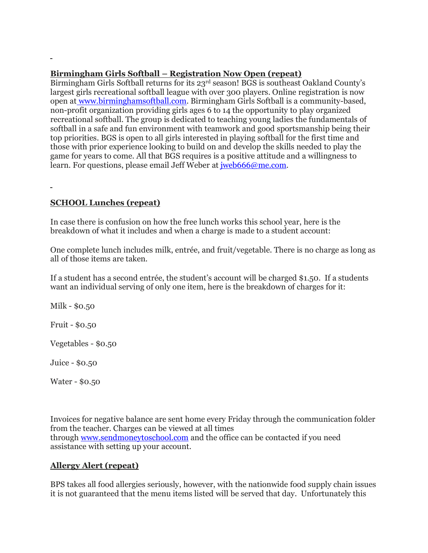### **Birmingham Girls Softball – Registration Now Open (repeat)**

Birmingham Girls Softball returns for its 23rd season! BGS is southeast Oakland County's largest girls recreational softball league with over 300 players. Online registration is now open at [www.birminghamsoftball.com.](http://www.birminghamsoftball.com/) Birmingham Girls Softball is a community-based, non-profit organization providing girls ages 6 to 14 the opportunity to play organized recreational softball. The group is dedicated to teaching young ladies the fundamentals of softball in a safe and fun environment with teamwork and good sportsmanship being their top priorities. BGS is open to all girls interested in playing softball for the first time and those with prior experience looking to build on and develop the skills needed to play the game for years to come. All that BGS requires is a positive attitude and a willingness to learn. For questions, please email Jeff Weber at *[jweb666@me.com.](mailto:jweb666@me.com)* 

# **SCHOOL Lunches (repeat)**

In case there is confusion on how the free lunch works this school year, here is the breakdown of what it includes and when a charge is made to a student account:

One complete lunch includes milk, entrée, and fruit/vegetable. There is no charge as long as all of those items are taken.

If a student has a second entrée, the student's account will be charged \$1.50. If a students want an individual serving of only one item, here is the breakdown of charges for it:

Milk - \$0.50

Fruit - \$0.50

Vegetables - \$0.50

Juice - \$0.50

Water - \$0.50

Invoices for negative balance are sent home every Friday through the communication folder from the teacher. Charges can be viewed at all times through [www.sendmoneytoschool.com](http://www.sendmoneytoschool.com/) and the office can be contacted if you need assistance with setting up your account.

# **Allergy Alert (repeat)**

BPS takes all food allergies seriously, however, with the nationwide food supply chain issues it is not guaranteed that the menu items listed will be served that day. Unfortunately this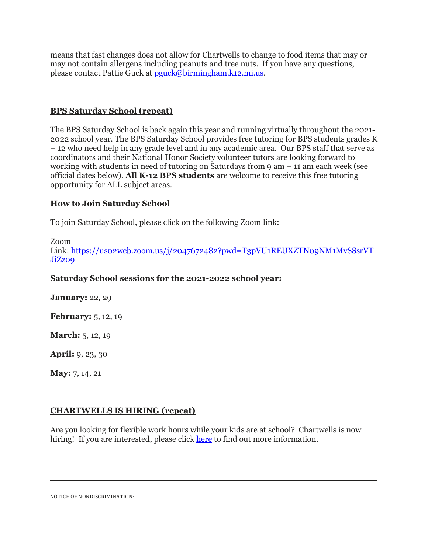means that fast changes does not allow for Chartwells to change to food items that may or may not contain allergens including peanuts and tree nuts. If you have any questions, please contact Pattie Guck at [pguck@birmingham.k12.mi.us.](mailto:pguck@birmingham.k12.mi.us)

# **BPS Saturday School (repeat)**

The BPS Saturday School is back again this year and running virtually throughout the 2021- 2022 school year. The BPS Saturday School provides free tutoring for BPS students grades K – 12 who need help in any grade level and in any academic area. Our BPS staff that serve as coordinators and their National Honor Society volunteer tutors are looking forward to working with students in need of tutoring on Saturdays from 9 am – 11 am each week (see official dates below). **All K-12 BPS students** are welcome to receive this free tutoring opportunity for ALL subject areas.

### **How to Join Saturday School**

To join Saturday School, please click on the following Zoom link:

Zoom Link: [https://us02web.zoom.us/j/2047672482?pwd=T3pVU1REUXZTN09NM1MvSSsrVT](https://us02web.zoom.us/j/2047672482?pwd=T3pVU1REUXZTN09NM1MvSSsrVTJiZz09) [JiZz09](https://us02web.zoom.us/j/2047672482?pwd=T3pVU1REUXZTN09NM1MvSSsrVTJiZz09)

#### **Saturday School sessions for the 2021-2022 school year:**

**January:** 22, 29

**February:** 5, 12, 19

**March:** 5, 12, 19

**April:** 9, 23, 30

**May:** 7, 14, 21

### **CHARTWELLS IS HIRING (repeat)**

Are you looking for flexible work hours while your kids are at school? Chartwells is now hiring! If you are interested, please click [here](https://drive.google.com/file/d/1BZnOWYoHzPSntYtVL11r7nlIkMYTQFdQ/view?usp=sharing) to find out more information.

NOTICE OF NONDISCRIMINATION: